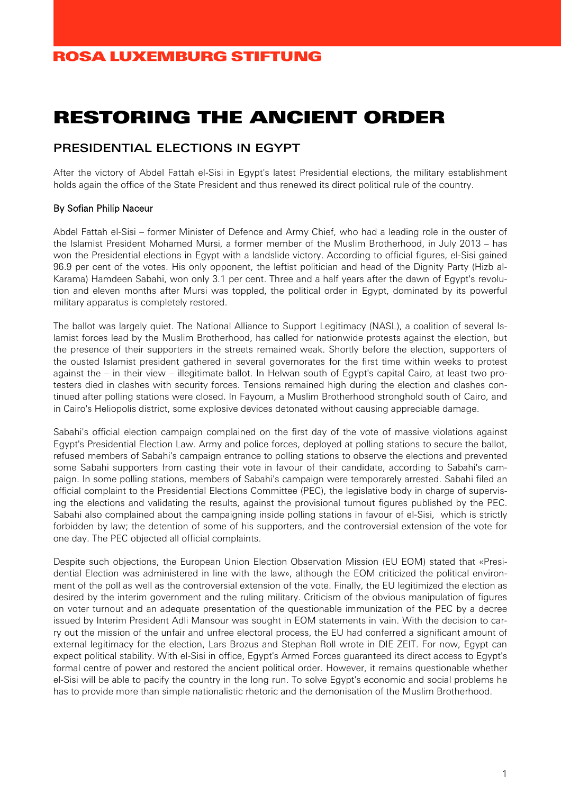# RESTORING THE ANCIENT ORDER

#### PRESIDENTIAL ELECTIONS IN EGYPT

After the victory of Abdel Fattah el-Sisi in Egypt's latest Presidential elections, the military establishment holds again the office of the State President and thus renewed its direct political rule of the country.

#### By Sofian Philip Naceur

Abdel Fattah el-Sisi – former Minister of Defence and Army Chief, who had a leading role in the ouster of the Islamist President Mohamed Mursi, a former member of the Muslim Brotherhood, in July 2013 – has won the Presidential elections in Egypt with a landslide victory. According to official figures, el-Sisi gained 96.9 per cent of the votes. His only opponent, the leftist politician and head of the Dignity Party (Hizb al-Karama) Hamdeen Sabahi, won only 3.1 per cent. Three and a half years after the dawn of Egypt's revolution and eleven months after Mursi was toppled, the political order in Egypt, dominated by its powerful military apparatus is completely restored.

The ballot was largely quiet. The National Alliance to Support Legitimacy (NASL), a coalition of several Islamist forces lead by the Muslim Brotherhood, has called for nationwide protests against the election, but the presence of their supporters in the streets remained weak. Shortly before the election, supporters of the ousted Islamist president gathered in several governorates for the first time within weeks to protest against the – in their view – illegitimate ballot. In Helwan south of Egypt's capital Cairo, at least two protesters died in clashes with security forces. Tensions remained high during the election and clashes continued after polling stations were closed. In Fayoum, a Muslim Brotherhood stronghold south of Cairo, and in Cairo's Heliopolis district, some explosive devices detonated without causing appreciable damage.

Sabahi's official election campaign complained on the first day of the vote of massive violations against Egypt's Presidential Election Law. Army and police forces, deployed at polling stations to secure the ballot, refused members of Sabahi's campaign entrance to polling stations to observe the elections and prevented some Sabahi supporters from casting their vote in favour of their candidate, according to Sabahi's campaign. In some polling stations, members of Sabahi's campaign were temporarely arrested. Sabahi filed an official complaint to the Presidential Elections Committee (PEC), the legislative body in charge of supervising the elections and validating the results, against the provisional turnout figures published by the PEC. Sabahi also complained about the campaigning inside polling stations in favour of el-Sisi, which is strictly forbidden by law; the detention of some of his supporters, and the controversial extension of the vote for one day. The PEC objected all official complaints.

Despite such objections, the European Union Election Observation Mission (EU EOM) stated that «Presidential Election was administered in line with the law», although the EOM criticized the political environment of the poll as well as the controversial extension of the vote. Finally, the EU legitimized the election as desired by the interim government and the ruling military. Criticism of the obvious manipulation of figures on voter turnout and an adequate presentation of the questionable immunization of the PEC by a decree issued by Interim President Adli Mansour was sought in EOM statements in vain. With the decision to carry out the mission of the unfair and unfree electoral process, the EU had conferred a significant amount of external legitimacy for the election, Lars Brozus and Stephan Roll wrote in DIE ZEIT. For now, Egypt can expect political stability. With el-Sisi in office, Egypt's Armed Forces guaranteed its direct access to Egypt's formal centre of power and restored the ancient political order. However, it remains questionable whether el-Sisi will be able to pacify the country in the long run. To solve Egypt's economic and social problems he has to provide more than simple nationalistic rhetoric and the demonisation of the Muslim Brotherhood.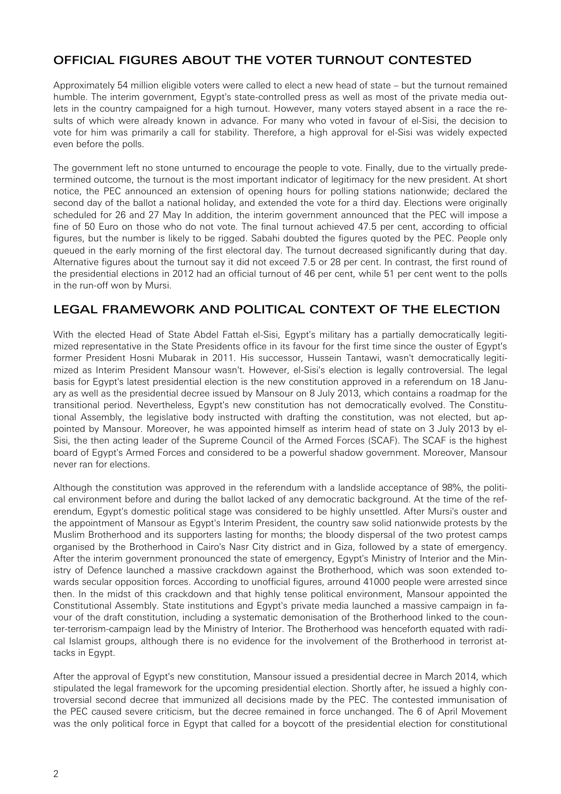# OFFICIAL FIGURES ABOUT THE VOTER TURNOUT CONTESTED

Approximately 54 million eligible voters were called to elect a new head of state – but the turnout remained humble. The interim government, Egypt's state-controlled press as well as most of the private media outlets in the country campaigned for a high turnout. However, many voters stayed absent in a race the results of which were already known in advance. For many who voted in favour of el-Sisi, the decision to vote for him was primarily a call for stability. Therefore, a high approval for el-Sisi was widely expected even before the polls.

The government left no stone unturned to encourage the people to vote. Finally, due to the virtually predetermined outcome, the turnout is the most important indicator of legitimacy for the new president. At short notice, the PEC announced an extension of opening hours for polling stations nationwide; declared the second day of the ballot a national holiday, and extended the vote for a third day. Elections were originally scheduled for 26 and 27 May In addition, the interim government announced that the PEC will impose a fine of 50 Euro on those who do not vote. The final turnout achieved 47.5 per cent, according to official figures, but the number is likely to be rigged. Sabahi doubted the figures quoted by the PEC. People only queued in the early morning of the first electoral day. The turnout decreased significantly during that day. Alternative figures about the turnout say it did not exceed 7.5 or 28 per cent. In contrast, the first round of the presidential elections in 2012 had an official turnout of 46 per cent, while 51 per cent went to the polls in the run-off won by Mursi.

# LEGAL FRAMEWORK AND POLITICAL CONTEXT OF THE ELECTION

With the elected Head of State Abdel Fattah el-Sisi, Egypt's military has a partially democratically legitimized representative in the State Presidents office in its favour for the first time since the ouster of Egypt's former President Hosni Mubarak in 2011. His successor, Hussein Tantawi, wasn't democratically legitimized as Interim President Mansour wasn't. However, el-Sisi's election is legally controversial. The legal basis for Egypt's latest presidential election is the new constitution approved in a referendum on 18 January as well as the presidential decree issued by Mansour on 8 July 2013, which contains a roadmap for the transitional period. Nevertheless, Egypt's new constitution has not democratically evolved. The Constitutional Assembly, the legislative body instructed with drafting the constitution, was not elected, but appointed by Mansour. Moreover, he was appointed himself as interim head of state on 3 July 2013 by el-Sisi, the then acting leader of the Supreme Council of the Armed Forces (SCAF). The SCAF is the highest board of Egypt's Armed Forces and considered to be a powerful shadow government. Moreover, Mansour never ran for elections.

Although the constitution was approved in the referendum with a landslide acceptance of 98%, the political environment before and during the ballot lacked of any democratic background. At the time of the referendum, Egypt's domestic political stage was considered to be highly unsettled. After Mursi's ouster and the appointment of Mansour as Egypt's Interim President, the country saw solid nationwide protests by the Muslim Brotherhood and its supporters lasting for months; the bloody dispersal of the two protest camps organised by the Brotherhood in Cairo's Nasr City district and in Giza, followed by a state of emergency. After the interim government pronounced the state of emergency, Egypt's Ministry of Interior and the Ministry of Defence launched a massive crackdown against the Brotherhood, which was soon extended towards secular opposition forces. According to unofficial figures, arround 41000 people were arrested since then. In the midst of this crackdown and that highly tense political environment, Mansour appointed the Constitutional Assembly. State institutions and Egypt's private media launched a massive campaign in favour of the draft constitution, including a systematic demonisation of the Brotherhood linked to the counter-terrorism-campaign lead by the Ministry of Interior. The Brotherhood was henceforth equated with radical Islamist groups, although there is no evidence for the involvement of the Brotherhood in terrorist attacks in Egypt.

After the approval of Egypt's new constitution, Mansour issued a presidential decree in March 2014, which stipulated the legal framework for the upcoming presidential election. Shortly after, he issued a highly controversial second decree that immunized all decisions made by the PEC. The contested immunisation of the PEC caused severe criticism, but the decree remained in force unchanged. The 6 of April Movement was the only political force in Egypt that called for a boycott of the presidential election for constitutional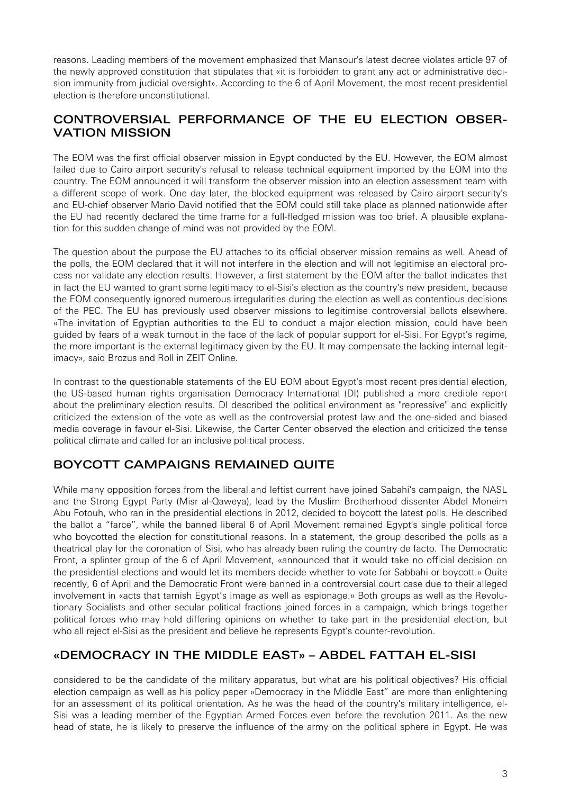reasons. Leading members of the movement emphasized that Mansour's latest decree violates article 97 of the newly approved constitution that stipulates that «it is forbidden to grant any act or administrative decision immunity from judicial oversight». According to the 6 of April Movement, the most recent presidential election is therefore unconstitutional.

# CONTROVERSIAL PERFORMANCE OF THE EU ELECTION OBSER-VATION MISSION

The EOM was the first official observer mission in Egypt conducted by the EU. However, the EOM almost failed due to Cairo airport security's refusal to release technical equipment imported by the EOM into the country. The EOM announced it will transform the observer mission into an election assessment team with a different scope of work. One day later, the blocked equipment was released by Cairo airport security's and EU-chief observer Mario David notified that the EOM could still take place as planned nationwide after the EU had recently declared the time frame for a full-fledged mission was too brief. A plausible explanation for this sudden change of mind was not provided by the EOM.

The question about the purpose the EU attaches to its official observer mission remains as well. Ahead of the polls, the EOM declared that it will not interfere in the election and will not legitimise an electoral process nor validate any election results. However, a first statement by the EOM after the ballot indicates that in fact the EU wanted to grant some legitimacy to el-Sisi's election as the country's new president, because the EOM consequently ignored numerous irregularities during the election as well as contentious decisions of the PEC. The EU has previously used observer missions to legitimise controversial ballots elsewhere. «The invitation of Egyptian authorities to the EU to conduct a major election mission, could have been guided by fears of a weak turnout in the face of the lack of popular support for el-Sisi. For Egypt's regime, the more important is the external legitimacy given by the EU. It may compensate the lacking internal legitimacy», said Brozus and Roll in ZEIT Online.

In contrast to the questionable statements of the EU EOM about Egypt's most recent presidential election, the US-based human rights organisation Democracy International (DI) published a more credible report about the preliminary election results. DI described the political environment as "repressive" and explicitly criticized the extension of the vote as well as the controversial protest law and the one-sided and biased media coverage in favour el-Sisi. Likewise, the Carter Center observed the election and criticized the tense political climate and called for an inclusive political process.

# BOYCOTT CAMPAIGNS REMAINED QUITE

While many opposition forces from the liberal and leftist current have joined Sabahi's campaign, the NASL and the Strong Egypt Party (Misr al-Qaweya), lead by the Muslim Brotherhood dissenter Abdel Moneim Abu Fotouh, who ran in the presidential elections in 2012, decided to boycott the latest polls. He described the ballot a "farce", while the banned liberal 6 of April Movement remained Egypt's single political force who boycotted the election for constitutional reasons. In a statement, the group described the polls as a theatrical play for the coronation of Sisi, who has already been ruling the country de facto. The Democratic Front, a splinter group of the 6 of April Movement, «announced that it would take no official decision on the presidential elections and would let its members decide whether to vote for Sabbahi or boycott.» Quite recently, 6 of April and the Democratic Front were banned in a controversial court case due to their alleged involvement in «acts that tarnish Egypt's image as well as espionage.» Both groups as well as the Revolutionary Socialists and other secular political fractions joined forces in a campaign, which brings together political forces who may hold differing opinions on whether to take part in the presidential election, but who all reject el-Sisi as the president and believe he represents Egypt's counter-revolution.

# «DEMOCRACY IN THE MIDDLE EAST» – ABDEL FATTAH EL-SISI

considered to be the candidate of the military apparatus, but what are his political objectives? His official election campaign as well as his policy paper »Democracy in the Middle East" are more than enlightening for an assessment of its political orientation. As he was the head of the country's military intelligence, el-Sisi was a leading member of the Egyptian Armed Forces even before the revolution 2011. As the new head of state, he is likely to preserve the influence of the army on the political sphere in Egypt. He was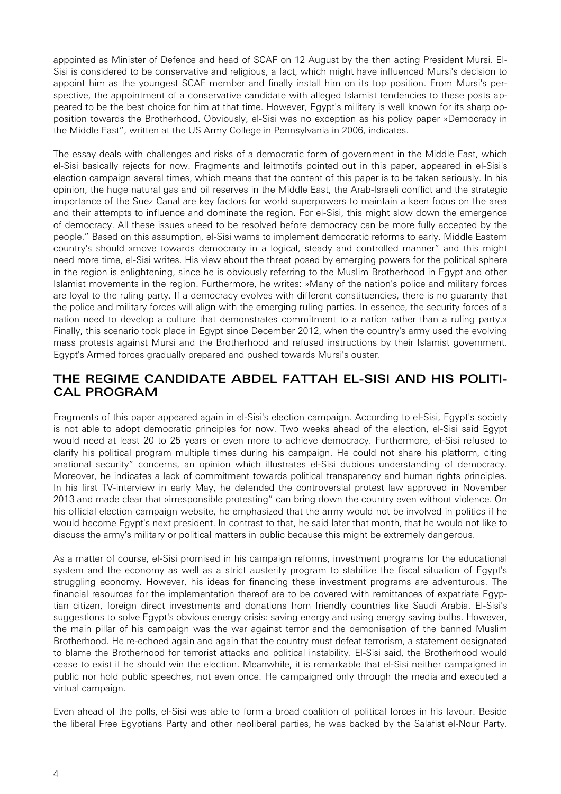appointed as Minister of Defence and head of SCAF on 12 August by the then acting President Mursi. El-Sisi is considered to be conservative and religious, a fact, which might have influenced Mursi's decision to appoint him as the youngest SCAF member and finally install him on its top position. From Mursi's perspective, the appointment of a conservative candidate with alleged Islamist tendencies to these posts appeared to be the best choice for him at that time. However, Egypt's military is well known for its sharp opposition towards the Brotherhood. Obviously, el-Sisi was no exception as his policy paper »Democracy in the Middle East", written at the US Army College in Pennsylvania in 2006, indicates.

The essay deals with challenges and risks of a democratic form of government in the Middle East, which el-Sisi basically rejects for now. Fragments and leitmotifs pointed out in this paper, appeared in el-Sisi's election campaign several times, which means that the content of this paper is to be taken seriously. In his opinion, the huge natural gas and oil reserves in the Middle East, the Arab-Israeli conflict and the strategic importance of the Suez Canal are key factors for world superpowers to maintain a keen focus on the area and their attempts to influence and dominate the region. For el-Sisi, this might slow down the emergence of democracy. All these issues »need to be resolved before democracy can be more fully accepted by the people." Based on this assumption, el-Sisi warns to implement democratic reforms to early. Middle Eastern country's should »move towards democracy in a logical, steady and controlled manner" and this might need more time, el-Sisi writes. His view about the threat posed by emerging powers for the political sphere in the region is enlightening, since he is obviously referring to the Muslim Brotherhood in Egypt and other Islamist movements in the region. Furthermore, he writes: »Many of the nation's police and military forces are loyal to the ruling party. If a democracy evolves with different constituencies, there is no guaranty that the police and military forces will align with the emerging ruling parties. In essence, the security forces of a nation need to develop a culture that demonstrates commitment to a nation rather than a ruling party.» Finally, this scenario took place in Egypt since December 2012, when the country's army used the evolving mass protests against Mursi and the Brotherhood and refused instructions by their Islamist government. Egypt's Armed forces gradually prepared and pushed towards Mursi's ouster.

#### THE REGIME CANDIDATE ABDEL FATTAH EL-SISI AND HIS POLITI-CAL PROGRAM

Fragments of this paper appeared again in el-Sisi's election campaign. According to el-Sisi, Egypt's society is not able to adopt democratic principles for now. Two weeks ahead of the election, el-Sisi said Egypt would need at least 20 to 25 years or even more to achieve democracy. Furthermore, el-Sisi refused to clarify his political program multiple times during his campaign. He could not share his platform, citing »national security" concerns, an opinion which illustrates el-Sisi dubious understanding of democracy. Moreover, he indicates a lack of commitment towards political transparency and human rights principles. In his first TV-interview in early May, he defended the controversial protest law approved in November 2013 and made clear that »irresponsible protesting" can bring down the country even without violence. On his official election campaign website, he emphasized that the army would not be involved in politics if he would become Egypt's next president. In contrast to that, he said later that month, that he would not like to discuss the army's military or political matters in public because this might be extremely dangerous.

As a matter of course, el-Sisi promised in his campaign reforms, investment programs for the educational system and the economy as well as a strict austerity program to stabilize the fiscal situation of Egypt's struggling economy. However, his ideas for financing these investment programs are adventurous. The financial resources for the implementation thereof are to be covered with remittances of expatriate Egyptian citizen, foreign direct investments and donations from friendly countries like Saudi Arabia. El-Sisi's suggestions to solve Egypt's obvious energy crisis: saving energy and using energy saving bulbs. However, the main pillar of his campaign was the war against terror and the demonisation of the banned Muslim Brotherhood. He re-echoed again and again that the country must defeat terrorism, a statement designated to blame the Brotherhood for terrorist attacks and political instability. El-Sisi said, the Brotherhood would cease to exist if he should win the election. Meanwhile, it is remarkable that el-Sisi neither campaigned in public nor hold public speeches, not even once. He campaigned only through the media and executed a virtual campaign.

Even ahead of the polls, el-Sisi was able to form a broad coalition of political forces in his favour. Beside the liberal Free Egyptians Party and other neoliberal parties, he was backed by the Salafist el-Nour Party.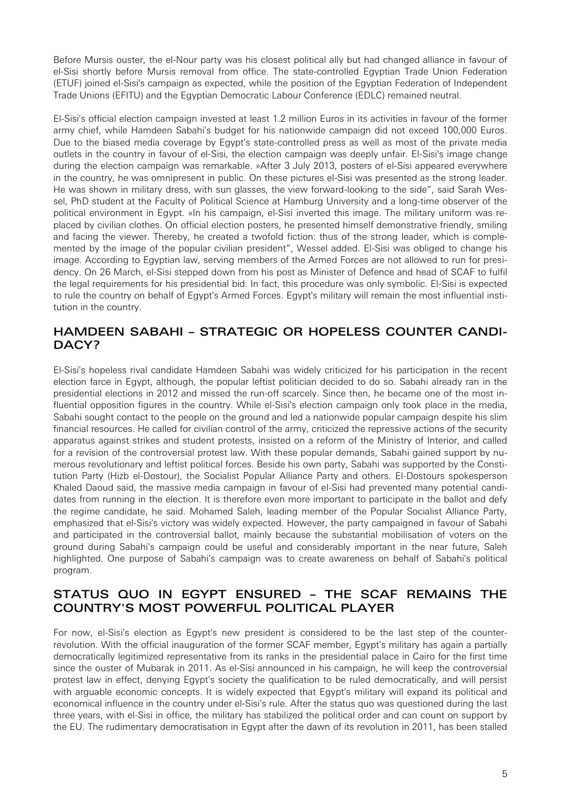Before Mursis ouster, the el-Nour party was his closest political ally but had changed alliance in favour of el-Sisi shortly before Mursis removal from office. The state-controlled Egyptian Trade Union Federation (ETUF) joined el-Sisi's campaign as expected, while the position of the Egyptian Federation of Independent Trade Unions (EFITU) and the Egyptian Democratic Labour Conference (EDLC) remained neutral.

El-Sisi's official election campaign invested at least 1.2 million Euros in its activities in favour of the former army chief, while Hamdeen Sabahi's budget for his nationwide campaign did not exceed 100,000 Euros. Due to the biased media coverage by Egypt's state-controlled press as well as most of the private media outlets in the country in favour of el-Sisi, the election campaign was deeply unfair. El-Sisi's image change during the election campaign was remarkable. »After 3 July 2013, posters of el-Sisi appeared everywhere in the country, he was omnipresent in public. On these pictures el-Sisi was presented as the strong leader. He was shown in military dress, with sun glasses, the view forward-looking to the side", said Sarah Wessel, PhD student at the Faculty of Political Science at Hamburg University and a long-time observer of the political environment in Egypt. »In his campaign, el-Sisi inverted this image. The military uniform was replaced by civilian clothes. On official election posters, he presented himself demonstrative friendly, smiling and facing the viewer. Thereby, he created a twofold fiction: thus of the strong leader, which is complemented by the image of the popular civilian president", Wessel added. El-Sisi was obliged to change his image. According to Egyptian law, serving members of the Armed Forces are not allowed to run for presidency. On 26 March, el-Sisi stepped down from his post as Minister of Defence and head of SCAF to fulfil the legal requirements for his presidential bid. In fact, this procedure was only symbolic. El-Sisi is expected to rule the country on behalf of Egypt's Armed Forces. Egypt's military will remain the most influential institution in the country.

#### HAMDEEN SABAHI – STRATEGIC OR HOPELESS COUNTER CANDI-DACY?

El-Sisi's hopeless rival candidate Hamdeen Sabahi was widely criticized for his participation in the recent election farce in Egypt, although, the popular leftist politician decided to do so. Sabahi already ran in the presidential elections in 2012 and missed the run-off scarcely. Since then, he became one of the most influential opposition figures in the country. While el-Sisi's election campaign only took place in the media, Sabahi sought contact to the people on the ground and led a nationwide popular campaign despite his slim financial resources. He called for civilian control of the army, criticized the repressive actions of the security apparatus against strikes and student protests, insisted on a reform of the Ministry of Interior, and called for a revision of the controversial protest law. With these popular demands, Sabahi gained support by numerous revolutionary and leftist political forces. Beside his own party, Sabahi was supported by the Constitution Party (Hizb el-Dostour), the Socialist Popular Alliance Party and others. El-Dostours spokesperson Khaled Daoud said, the massive media campaign in favour of el-Sisi had prevented many potential candidates from running in the election. It is therefore even more important to participate in the ballot and defy the regime candidate, he said. Mohamed Saleh, leading member of the Popular Socialist Alliance Party, emphasized that el-Sisi's victory was widely expected. However, the party campaigned in favour of Sabahi and participated in the controversial ballot, mainly because the substantial mobilisation of voters on the ground during Sabahi's campaign could be useful and considerably important in the near future, Saleh highlighted. One purpose of Sabahi's campaign was to create awareness on behalf of Sabahi's political program.

#### STATUS QUO IN EGYPT ENSURED – THE SCAF REMAINS THE COUNTRY'S MOST POWERFUL POLITICAL PLAYER

For now, el-Sisi's election as Egypt's new president is considered to be the last step of the counterrevolution. With the official inauguration of the former SCAF member, Egypt's military has again a partially democratically legitimized representative from its ranks in the presidential palace in Cairo for the first time since the ouster of Mubarak in 2011. As el-Sisi announced in his campaign, he will keep the controversial protest law in effect, denying Egypt's society the qualification to be ruled democratically, and will persist with arguable economic concepts. It is widely expected that Egypt's military will expand its political and economical influence in the country under el-Sisi's rule. After the status quo was questioned during the last three years, with el-Sisi in office, the military has stabilized the political order and can count on support by the EU. The rudimentary democratisation in Egypt after the dawn of its revolution in 2011, has been stalled